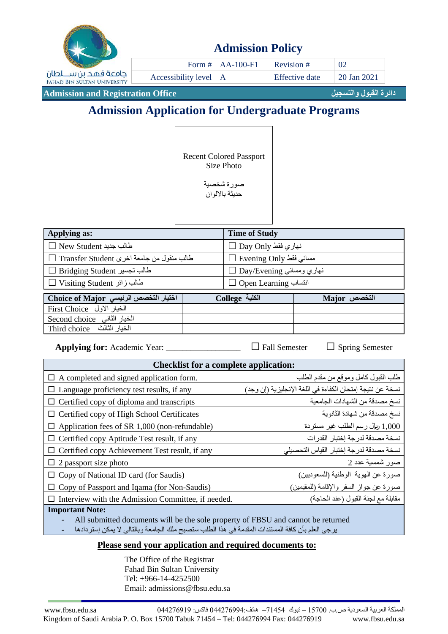|                                                             |                              | <b>Admission Policy</b> |                |                       |
|-------------------------------------------------------------|------------------------------|-------------------------|----------------|-----------------------|
|                                                             |                              | Form $#$   AA-100-F1    | Revision#      | 02                    |
| جامعة فهد بن ســـلطان<br><b>FAHAD BIN SULTAN UNIVERSITY</b> | Accessibility level $\mid$ A |                         | Effective date | 20 Jan 2021           |
| <b>Admission and Registration Office</b>                    |                              |                         |                | دائرة القبول والتسجيل |

# **Admission Application for Undergraduate Programs**

| <b>Recent Colored Passport</b> |
|--------------------------------|
| Size Photo                     |

صورة شخصية حديثة بااللوان

| Applying as:                                | <b>Time of Study</b>      |                              |  |  |
|---------------------------------------------|---------------------------|------------------------------|--|--|
| $\Box$ New Student طالب جدید                | $\Box$ Day Only نهاري فقط |                              |  |  |
| طالب منقول من جامعة اخرى Transfer Student [ | مسائی فقط Evening Only ⊃  |                              |  |  |
| طالب تجسير Bridging Student                 |                           | نـهاري ومسائـي Day/Evening □ |  |  |
| طالب زائر Visiting Student —                |                           | انتساب Open Learning انتساب  |  |  |
| اختيار التخصص الرئيسي Choice of Major       | الكلية College            | Major التخصص                 |  |  |
| الخيار الاول First Choice                   |                           |                              |  |  |
| الخيار الثانى Second choice                 |                           |                              |  |  |
| الخيار الثالث   Third choice                |                           |                              |  |  |

**Applying for:** Academic Year: \_\_\_\_\_\_\_\_\_\_\_\_\_\_\_\_\_\_\_ □ Fall Semester □ Spring Semester

| <b>Checklist for a complete application:</b>                                     |                                                           |  |  |  |  |  |
|----------------------------------------------------------------------------------|-----------------------------------------------------------|--|--|--|--|--|
| $\Box$ A completed and signed application form.                                  | طلب القبول كامل وموقع من مقدم الطلب                       |  |  |  |  |  |
| Language proficiency test results, if any<br>$\Box$                              | نسخة عن نتيجة إمتحان الكفاءة في اللغة الإنجليزية (إن وجد) |  |  |  |  |  |
| Certified copy of diploma and transcripts                                        | نسخ مصدقة من الشهادات الجامعية                            |  |  |  |  |  |
| Certified copy of High School Certificates                                       | نسخ مصدقة من شهادة الثانوية                               |  |  |  |  |  |
| Application fees of SR 1,000 (non-refundable)                                    | 1,000 ربإل رسم الطلب غير مستردة                           |  |  |  |  |  |
| Certified copy Aptitude Test result, if any<br>$\Box$                            | نسخة مصدقة لدرجة إختبار القدرات                           |  |  |  |  |  |
| Certified copy Achievement Test result, if any<br>$\Box$                         | نسخة مصدقة لدرجة إختبار القياس التحصبلي                   |  |  |  |  |  |
| $\Box$ 2 passport size photo                                                     | صور شمسية عدد 2                                           |  |  |  |  |  |
| Copy of National ID card (for Saudis)                                            | صورة عن الموية الوطنية (للسعوديين)                        |  |  |  |  |  |
| Copy of Passport and Iqama (for Non-Saudis)<br>$\Box$                            | صورة عن جواز السفر والإقامة (للمقيمين)                    |  |  |  |  |  |
| Interview with the Admission Committee, if needed.                               | مقابلة مع لجنة القبول (عند الحاجة)                        |  |  |  |  |  |
| <b>Important Note:</b>                                                           |                                                           |  |  |  |  |  |
| All submitted documents will be the sole property of FBSU and cannot be returned |                                                           |  |  |  |  |  |

يرجى العلم بأن كافة المستندات المقدمة في هذا الطلب ستصبح ملك الجامعة وبالتالي ال يمكن إستردادها -

#### **Please send your application and required documents to:**

The Office of the Registrar Fahad Bin Sultan University Tel: +966-14-4252500 Email: admissions@fbsu.edu.sa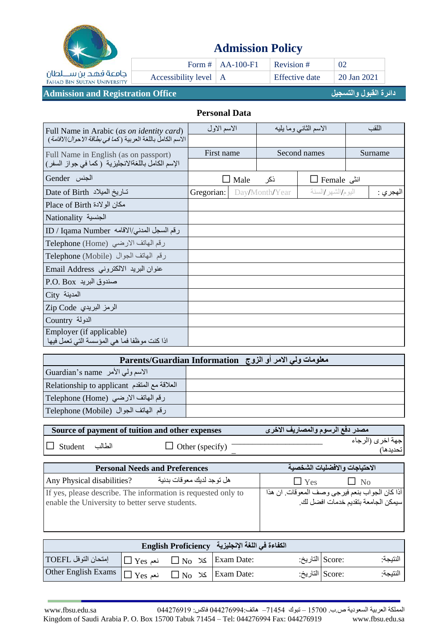

# **Admission Policy**

|                                                                |                              | Form $#$   AA-100-F1 | Revision #     |             |  |
|----------------------------------------------------------------|------------------------------|----------------------|----------------|-------------|--|
| ر حامعة فهد بن ســــلطان<br><b>FAHAD BIN SULTAN UNIVERSITY</b> | Accessibility level $\mid$ A |                      | Effective date | 20 Jan 2021 |  |
|                                                                |                              |                      |                |             |  |

#### **Admission and Registration Office والتسجيل القبول دائرة**

### **Personal Data**

| Full Name in Arabic (as on identity card)                               | الاسم الاول |                |                | الاسم الثاني وما يليه | اللقب     |
|-------------------------------------------------------------------------|-------------|----------------|----------------|-----------------------|-----------|
| الاسم الكامل باللغة العربية (ك <i>ما في بطاقة الاحوال/الاقامة</i> )     |             |                |                |                       |           |
| Full Name in English (as on passport)                                   | First name  |                |                | Second names          | Surname   |
| الإسم الكامل باللغةالانجليزية (كما في جواز السفر)                       |             |                |                |                       |           |
| الجنس Gender                                                            |             | $\square$ Male | ذكر            | انشی Female           |           |
| تـاريخ الميلاد Date of Birth                                            | Gregorian:  |                | Day/Month/Year | اليوم/الشهر /السنة    | الهجر ي : |
| Place of Birth مكان الولادة                                             |             |                |                |                       |           |
| الجنسية Nationality                                                     |             |                |                |                       |           |
| رقم السجل المدنى/الاقامه ID / Iqama Number                              |             |                |                |                       |           |
| رقم الهاتف الارضى (Telephone (Home                                      |             |                |                |                       |           |
| رقم الهاتف الجوال (Telephone (Mobile                                    |             |                |                |                       |           |
| عنوان البريد الالكتروني Email Address                                   |             |                |                |                       |           |
| صندوق البريد P.O. Box                                                   |             |                |                |                       |           |
| City المدينة                                                            |             |                |                |                       |           |
| الرمز البريدي Zip Code                                                  |             |                |                |                       |           |
| الدولة Country                                                          |             |                |                |                       |           |
| Employer (if applicable)<br>اذا كنت موظفا فما هي المؤسسة التي تعمل فيها |             |                |                |                       |           |

| معلومات ولي الامر أو الزوج   Parents/Guardian Information |  |  |  |  |  |
|-----------------------------------------------------------|--|--|--|--|--|
| الاسم ولى الأمر Guardian's name                           |  |  |  |  |  |
| العلاقة مع المتقدم Relationship to applicant              |  |  |  |  |  |
| رقم الهاتف الارضى (Telephone (Home                        |  |  |  |  |  |
| رقم الهاتف الجوال (Telephone (Mobile                      |  |  |  |  |  |

|                  | Source of payment of tuition and other expenses |                        | مصدر دفع الرسوم والمصاريف الاخرى |
|------------------|-------------------------------------------------|------------------------|----------------------------------|
| الطالب Student ⊔ |                                                 | $\Box$ Other (specify) | جهة اخرى (الرجاء<br>تحديدها)     |

| <b>Personal Needs and Preferences</b>                         | الاحتياجات والافضليات الشخصية                  |  |  |
|---------------------------------------------------------------|------------------------------------------------|--|--|
| هل توجد لديك معوقات بدنية                                     | $\Box$ No                                      |  |  |
| Any Physical disabilities?                                    | $\blacksquare$ Yes                             |  |  |
| If yes, please describe. The information is requested only to | أذا كان الجواب بنعم فيرجى وصف المعوقات. ان هذا |  |  |
| enable the University to better serve students.               | سيمكن الجامعة بنقديم خدمات افضل لك             |  |  |

|                             |                                    | الكفاءة في اللغة الإنجليزية [English Proficiency] |                 |          |
|-----------------------------|------------------------------------|---------------------------------------------------|-----------------|----------|
| إمتحان التوفل TOEFL         | $\Box$ Yes كلا No كالكا Exam Date: |                                                   | Score: التاريخ: | النتيجة: |
| Other English Exams   ∏ Yes |                                    | $\Box$ No $\Im$ Exam Date:                        | Score: التاريخ: | النتيجة: |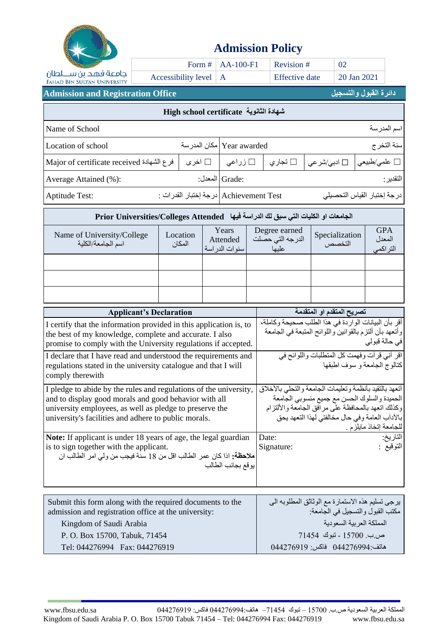

# **Admission Policy**

|                                                              |                              | Form $#$   AA-100-F1 | Revision #            |             |
|--------------------------------------------------------------|------------------------------|----------------------|-----------------------|-------------|
| حامعة فهد بن ســــلطان<br><b>FAHAD BIN SULTAN UNIVERSITY</b> | Accessibility level $\mid$ A |                      | <b>Effective date</b> | 20 Jan 2021 |

#### **Admission and Registration Office والتسجيل القبول دائرة**

|  |  | شهادة الثانوية High school certificate |  |  |
|--|--|----------------------------------------|--|--|
|--|--|----------------------------------------|--|--|

| Name of School<br>اسم المدر سة            |              |                                          |                   |  |                              |
|-------------------------------------------|--------------|------------------------------------------|-------------------|--|------------------------------|
| Location of school                        |              | Year awarded  مكان المدرسة               |                   |  | سنة التخر ج                  |
| Major of certificate received فرع الشهادة | $\Box$ اخر ی | زراعی $\square$                          | ا آ تجار <i>ي</i> |  | □ علمي/طبيعي   □ ادبي/شر عي  |
| Average Attained (%):                     |              | :Grade المعدل [                          |                   |  | التقدير :                    |
| Aptitude Test:                            |              | : درجة إختبار القدرات [ Achievement Test |                   |  | در جة إختبار القياس التحصيلي |

### **الجامعات او الكليات التي سبق لك الدراسة فيها Attended Colleges/Universities Prior**

| Name of University/College<br>اسم الجامعة/الكلية | Location<br>المكان | Years<br>Attended<br>  سنو ات الدر اسة | Degree earned<br>الدرجه التي حصلت<br>عليها | Specialization<br>التخصص | <b>GPA</b><br>المعدل<br>التراكمي |
|--------------------------------------------------|--------------------|----------------------------------------|--------------------------------------------|--------------------------|----------------------------------|
|                                                  |                    |                                        |                                            |                          |                                  |
|                                                  |                    |                                        |                                            |                          |                                  |
|                                                  |                    |                                        |                                            |                          |                                  |

| <b>Applicant's Declaration</b>                                                                                                                                                                                                                | تصريح المتقدم او المتقدمة                                                                                                                                                                                                                |
|-----------------------------------------------------------------------------------------------------------------------------------------------------------------------------------------------------------------------------------------------|------------------------------------------------------------------------------------------------------------------------------------------------------------------------------------------------------------------------------------------|
| I certify that the information provided in this application is, to<br>the best of my knowledge, complete and accurate. I also<br>promise to comply with the University regulations if accepted.                                               | أقر بأن البيانات الواردة في هذا الطلب صحيحة وكاملة،<br>وأنعهد بأن ألتزم بالقوانين واللوائح المتبعة في الجامعة<br>في حالة قبولي                                                                                                           |
| I declare that I have read and understood the requirements and<br>regulations stated in the university catalogue and that I will<br>comply therewith                                                                                          | اقر أني قرأت وفهمت كل المنطلبات واللوائح في<br>كتالوج الجامعة وسوف اطبقها                                                                                                                                                                |
| I pledge to abide by the rules and regulations of the university,<br>and to display good morals and good behavior with all<br>university employees, as well as pledge to preserve the<br>university's facilities and adhere to public morals. | إأنعهد بالنقيد بأنظمة وتعليمات الجامعة والتحلي بالأخلاق<br>الحميدة والسلوك الحسن مع جميع منسوبي الجامعة<br>وكذلك اتعهد بالمحافظة على مرافق الجامعة والألتزام<br>بالأدأب العامة وفي حال مخالفتي لهذا التعهد يحق<br>للجامعة إتخاذ مايلزم . |
| <b>Note:</b> If applicant is under 18 years of age, the legal guardian<br>is to sign together with the applicant.<br>ملاحظة: اذا كان عمر الطالب اقل من 18 سنة فيجب من ولي امر الطالب ان<br>يوقع بجانب الطالب                                  | التاريخ:<br>Date:<br>التوقيع :<br>Signature:                                                                                                                                                                                             |

| Submit this form along with the required documents to the | يرجى تسليم هذه الاستمارة مع الوثاثق المطلوبه الى |
|-----------------------------------------------------------|--------------------------------------------------|
| admission and registration office at the university:      | مكتب القبول والتسجيل في الجامعة:                 |
| Kingdom of Saudi Arabia                                   | المملكة العر بية السعو دية                       |
| P. O. Box 15700, Tabuk, 71454                             | اص.ب. 15700 - تبوك 1454                          |
| Tel: 044276994 Fax: 044276919                             | هاتف:044276994 فاكس: 044276919                   |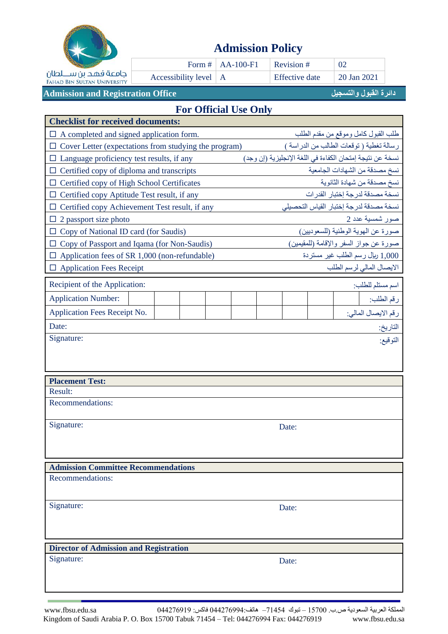

# **Admission Policy**

|                                                             |                              | Form $\#$   AA-100-F1 | Revision #     |             |
|-------------------------------------------------------------|------------------------------|-----------------------|----------------|-------------|
| حامعة فهد بن ســـلطان<br><b>FAHAD BIN SULTAN UNIVERSITY</b> | Accessibility level $\mid$ A |                       | Effective date | 20 Jan 2021 |

#### **Admission and Registration Office والتسجيل القبول دائرة**

## **For Official Use Only**

| <b>Checklist for received documents:</b>                                                                    |                                                           |  |  |  |  |  |  |
|-------------------------------------------------------------------------------------------------------------|-----------------------------------------------------------|--|--|--|--|--|--|
| A completed and signed application form.                                                                    | طلب القبول كامل وموقع من مقدم الطلب                       |  |  |  |  |  |  |
| رسالة تغطية ( توقعات الطالب من الدراسة )<br>Cover Letter (expectations from studying the program)<br>$\Box$ |                                                           |  |  |  |  |  |  |
| Language proficiency test results, if any                                                                   | نسخة عن نتيجة إمتحان الكفاءة في اللغة الإنجليزية (إن وجد) |  |  |  |  |  |  |
| Certified copy of diploma and transcripts                                                                   | نسخ مصدقة من الشهادات الجامعية                            |  |  |  |  |  |  |
| Certified copy of High School Certificates                                                                  | نسخ مصدقة من شهادة الثانوية                               |  |  |  |  |  |  |
| Certified copy Aptitude Test result, if any                                                                 | نسخة مصدقة لدرجة إختبار القدرات                           |  |  |  |  |  |  |
| Certified copy Achievement Test result, if any                                                              | نسخة مصدقة لدرجة إختبار القياس التحصيلي                   |  |  |  |  |  |  |
| 2 passport size photo                                                                                       | صور شمسية عدد 2                                           |  |  |  |  |  |  |
| Copy of National ID card (for Saudis)                                                                       | صورة عن الموية الوطنية (للسعوديين)                        |  |  |  |  |  |  |
| Copy of Passport and Iqama (for Non-Saudis)                                                                 | صورة عن جواز السفر والإقامة (للمقيمين)                    |  |  |  |  |  |  |
| Application fees of SR 1,000 (non-refundable)                                                               | 1,000 ريال رسم الطلب غير مستردة                           |  |  |  |  |  |  |
| <b>Application Fees Receipt</b>                                                                             | الايصال المالي لرسم الطلب                                 |  |  |  |  |  |  |
| Recipient of the Application:                                                                               |                                                           |  |  |  |  |  |  |
| <b>Application Number:</b>                                                                                  | اسم مستلم للطلب:<br>رقم الطلب:                            |  |  |  |  |  |  |
| Application Fees Receipt No.                                                                                | رقم الايصال المالي:                                       |  |  |  |  |  |  |
| Date:                                                                                                       |                                                           |  |  |  |  |  |  |
| Signature:                                                                                                  | ا <mark>لتاريخ:</mark><br>التوقيع:                        |  |  |  |  |  |  |
|                                                                                                             |                                                           |  |  |  |  |  |  |
|                                                                                                             |                                                           |  |  |  |  |  |  |
|                                                                                                             |                                                           |  |  |  |  |  |  |
| <b>Placement Test:</b><br>Result:                                                                           |                                                           |  |  |  |  |  |  |
| Recommendations:                                                                                            |                                                           |  |  |  |  |  |  |
|                                                                                                             |                                                           |  |  |  |  |  |  |
| Signature:                                                                                                  | Date:                                                     |  |  |  |  |  |  |
|                                                                                                             |                                                           |  |  |  |  |  |  |
|                                                                                                             |                                                           |  |  |  |  |  |  |
| <b>Admission Committee Recommendations</b>                                                                  |                                                           |  |  |  |  |  |  |
| Recommendations:                                                                                            |                                                           |  |  |  |  |  |  |
|                                                                                                             |                                                           |  |  |  |  |  |  |
| Signature:                                                                                                  | Date:                                                     |  |  |  |  |  |  |
|                                                                                                             |                                                           |  |  |  |  |  |  |
|                                                                                                             |                                                           |  |  |  |  |  |  |
|                                                                                                             |                                                           |  |  |  |  |  |  |
| <b>Director of Admission and Registration</b>                                                               |                                                           |  |  |  |  |  |  |
| Signature:                                                                                                  | Date:                                                     |  |  |  |  |  |  |
|                                                                                                             |                                                           |  |  |  |  |  |  |
|                                                                                                             |                                                           |  |  |  |  |  |  |
|                                                                                                             |                                                           |  |  |  |  |  |  |